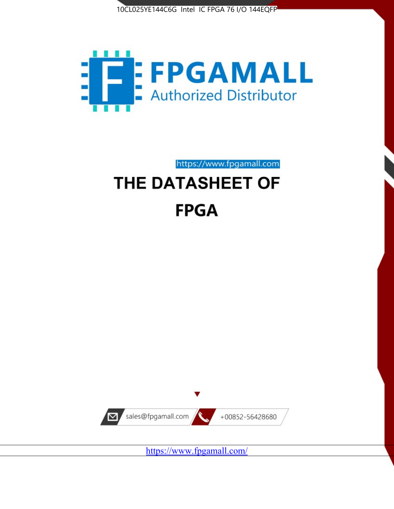



https://www.fpgamall.com

# THE DATASHEET OF **FPGA**



https://www.fpgamall.com/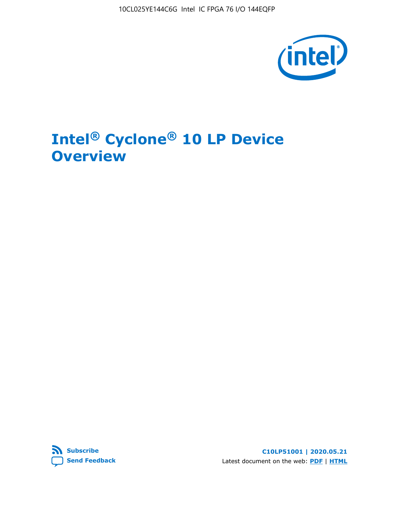10CL025YE144C6G Intel IC FPGA 76 I/O 144EQFP



# **Intel® Cyclone® 10 LP Device Overview**



**C10LP51001 | 2020.05.21** Latest document on the web: **[PDF](https://www.intel.com/content/dam/www/programmable/us/en/pdfs/literature/hb/cyclone-10/c10lp-51001.pdf)** | **[HTML](https://www.intel.com/content/www/us/en/programmable/documentation/hci1490246873896.html)**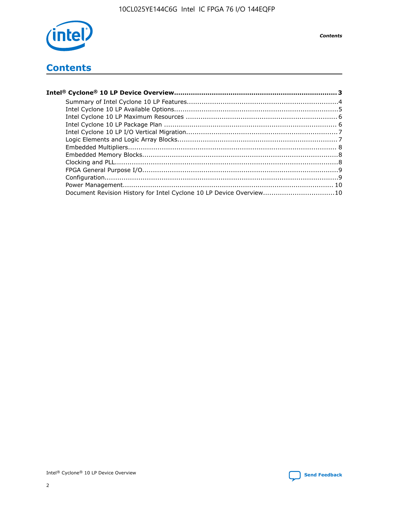

## **Contents**

| Document Revision History for Intel Cyclone 10 LP Device Overview10 |  |
|---------------------------------------------------------------------|--|
|                                                                     |  |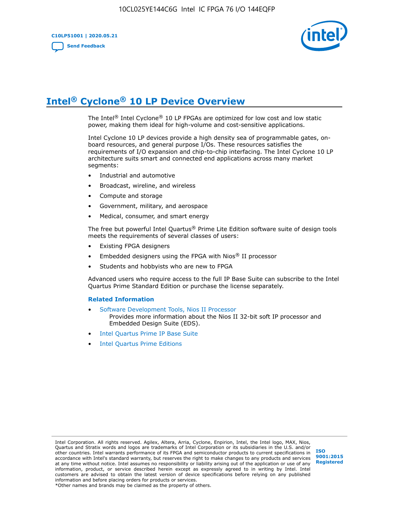

# **Intel® Cyclone® 10 LP Device Overview**

The Intel® Intel Cyclone® 10 LP FPGAs are optimized for low cost and low static power, making them ideal for high-volume and cost-sensitive applications.

Intel Cyclone 10 LP devices provide a high density sea of programmable gates, onboard resources, and general purpose I/Os. These resources satisfies the requirements of I/O expansion and chip-to-chip interfacing. The Intel Cyclone 10 LP architecture suits smart and connected end applications across many market segments:

- Industrial and automotive
- Broadcast, wireline, and wireless
- Compute and storage
- Government, military, and aerospace
- Medical, consumer, and smart energy

The free but powerful Intel Quartus® Prime Lite Edition software suite of design tools meets the requirements of several classes of users:

- Existing FPGA designers
- Embedded designers using the FPGA with Nios® II processor
- Students and hobbyists who are new to FPGA

Advanced users who require access to the full IP Base Suite can subscribe to the Intel Quartus Prime Standard Edition or purchase the license separately.

#### **Related Information**

- [Software Development Tools, Nios II Processor](https://www.altera.com/products/processors/design-tools.html) Provides more information about the Nios II 32-bit soft IP processor and Embedded Design Suite (EDS).
- [Intel Quartus Prime IP Base Suite](https://www.altera.com/products/intellectual-property/design/ip-base-suite.html)
- **[Intel Quartus Prime Editions](https://www.altera.com/products/design-software/fpga-design/quartus-prime/download.html)**

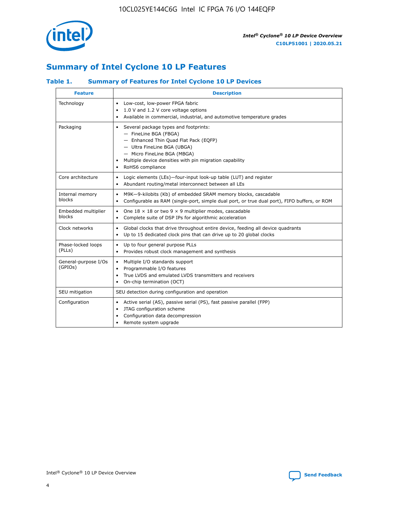

## **Summary of Intel Cyclone 10 LP Features**

### **Table 1. Summary of Features for Intel Cyclone 10 LP Devices**

| <b>Feature</b>                  | <b>Description</b>                                                                                                                                                                                                                                        |
|---------------------------------|-----------------------------------------------------------------------------------------------------------------------------------------------------------------------------------------------------------------------------------------------------------|
| Technology                      | Low-cost, low-power FPGA fabric<br>٠<br>1.0 V and 1.2 V core voltage options<br>Available in commercial, industrial, and automotive temperature grades                                                                                                    |
| Packaging                       | Several package types and footprints:<br>٠<br>- FineLine BGA (FBGA)<br>- Enhanced Thin Quad Flat Pack (EQFP)<br>- Ultra FineLine BGA (UBGA)<br>- Micro FineLine BGA (MBGA)<br>Multiple device densities with pin migration capability<br>RoHS6 compliance |
| Core architecture               | Logic elements (LEs)-four-input look-up table (LUT) and register<br>٠<br>Abundant routing/metal interconnect between all LEs<br>$\bullet$                                                                                                                 |
| Internal memory<br>blocks       | M9K-9-kilobits (Kb) of embedded SRAM memory blocks, cascadable<br>$\bullet$<br>Configurable as RAM (single-port, simple dual port, or true dual port), FIFO buffers, or ROM<br>$\bullet$                                                                  |
| Embedded multiplier<br>blocks   | One $18 \times 18$ or two 9 $\times$ 9 multiplier modes, cascadable<br>$\bullet$<br>Complete suite of DSP IPs for algorithmic acceleration<br>٠                                                                                                           |
| Clock networks                  | Global clocks that drive throughout entire device, feeding all device quadrants<br>٠<br>Up to 15 dedicated clock pins that can drive up to 20 global clocks                                                                                               |
| Phase-locked loops<br>(PLLs)    | Up to four general purpose PLLs<br>$\bullet$<br>Provides robust clock management and synthesis<br>$\bullet$                                                                                                                                               |
| General-purpose I/Os<br>(GPIOs) | Multiple I/O standards support<br>$\bullet$<br>Programmable I/O features<br>$\bullet$<br>True LVDS and emulated LVDS transmitters and receivers<br>٠<br>On-chip termination (OCT)<br>$\bullet$                                                            |
| SEU mitigation                  | SEU detection during configuration and operation                                                                                                                                                                                                          |
| Configuration                   | Active serial (AS), passive serial (PS), fast passive parallel (FPP)<br>$\bullet$<br>JTAG configuration scheme<br>$\bullet$<br>Configuration data decompression<br>Remote system upgrade<br>$\bullet$                                                     |

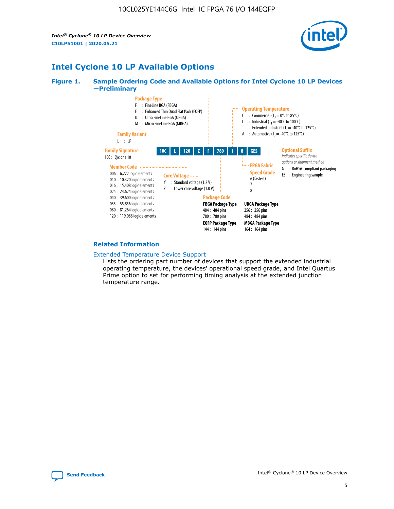*Intel® Cyclone® 10 LP Device Overview* **C10LP51001 | 2020.05.21**



## **Intel Cyclone 10 LP Available Options**

#### **Figure 1. Sample Ordering Code and Available Options for Intel Cyclone 10 LP Devices —Preliminary**



#### **Related Information**

[Extended Temperature Device Support](https://www.intel.com/content/www/us/en/products/programmable/temperature.html)

Lists the ordering part number of devices that support the extended industrial operating temperature, the devices' operational speed grade, and Intel Quartus Prime option to set for performing timing analysis at the extended junction temperature range.

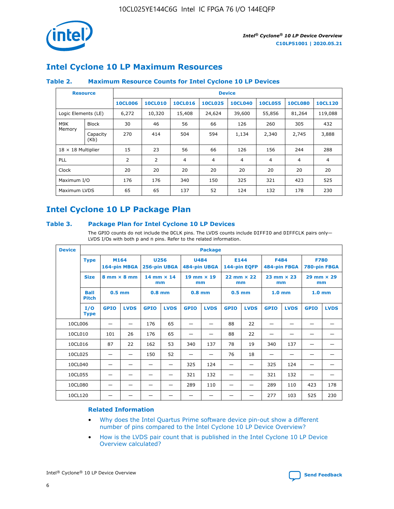

## **Intel Cyclone 10 LP Maximum Resources**

### **Table 2. Maximum Resource Counts for Intel Cyclone 10 LP Devices**

|                           | <b>Resource</b>  | <b>Device</b>  |                |                |                |                |                |                |                |
|---------------------------|------------------|----------------|----------------|----------------|----------------|----------------|----------------|----------------|----------------|
|                           |                  | <b>10CL006</b> | <b>10CL010</b> | <b>10CL016</b> | <b>10CL025</b> | <b>10CL040</b> | <b>10CL055</b> | <b>10CL080</b> | <b>10CL120</b> |
| Logic Elements (LE)       |                  | 6,272          | 10,320         | 15,408         | 24,624         | 39,600         | 55,856         | 81,264         | 119,088        |
| M9K                       | <b>Block</b>     | 30             | 46             | 56             | 66             | 126            | 260            | 305            | 432            |
| Memory                    | Capacity<br>(Kb) | 270            | 414            | 504            | 594            | 1,134          | 2,340          | 2,745          | 3,888          |
| $18 \times 18$ Multiplier |                  | 15             | 23             | 56             | 66             | 126            | 156            | 244            | 288            |
| <b>PLL</b>                |                  | 2              | 2              | 4              | 4              | $\overline{4}$ | 4              | $\overline{4}$ | 4              |
| Clock                     |                  | 20             | 20             | 20             | 20             | 20             | 20             | 20             | 20             |
| Maximum I/O               |                  | 176            | 176            | 340            | 150            | 325            | 321            | 423            | 525            |
| Maximum LVDS              |                  | 65             | 65             | 137            | 52             | 124            | 132            | 178            | 230            |

## **Intel Cyclone 10 LP Package Plan**

#### **Table 3. Package Plan for Intel Cyclone 10 LP Devices**

The GPIO counts do not include the DCLK pins. The LVDS counts include DIFFIO and DIFFCLK pairs only-LVDS I/Os with both p and n pins. Refer to the related information.

| <b>Device</b> |                                                   | <b>Package</b> |                           |              |                           |                             |                           |                      |                           |                   |                           |                             |             |
|---------------|---------------------------------------------------|----------------|---------------------------|--------------|---------------------------|-----------------------------|---------------------------|----------------------|---------------------------|-------------------|---------------------------|-----------------------------|-------------|
| <b>Type</b>   |                                                   | M164           | 164-pin MBGA              | 256-pin UBGA | <b>U256</b>               | <b>U484</b><br>484-pin UBGA |                           | E144<br>144-pin EQFP |                           | <b>F484</b>       | 484-pin FBGA              | <b>F780</b><br>780-pin FBGA |             |
|               | <b>Size</b><br>$8 \text{ mm} \times 8 \text{ mm}$ |                | $14$ mm $\times$ 14<br>mm |              | $19$ mm $\times$ 19<br>mm |                             | $22$ mm $\times$ 22<br>mm |                      | $23$ mm $\times$ 23<br>mm |                   | $29$ mm $\times$ 29<br>mm |                             |             |
|               | <b>Ball</b><br><b>Pitch</b>                       | $0.5$ mm       |                           | $0.8$ mm     |                           | $0.8$ mm                    |                           | $0.5$ mm             |                           | 1.0 <sub>mm</sub> |                           | 1.0 <sub>mm</sub>           |             |
|               | I/O<br><b>Type</b>                                | <b>GPIO</b>    | <b>LVDS</b>               | <b>GPIO</b>  | <b>LVDS</b>               | <b>GPIO</b>                 | <b>LVDS</b>               | <b>GPIO</b>          | <b>LVDS</b>               | <b>GPIO</b>       | <b>LVDS</b>               | <b>GPIO</b>                 | <b>LVDS</b> |
| 10CL006       |                                                   |                |                           | 176          | 65                        |                             |                           | 88                   | 22                        |                   |                           |                             |             |
| 10CL010       |                                                   | 101            | 26                        | 176          | 65                        |                             |                           | 88                   | 22                        |                   |                           |                             |             |
| 10CL016       |                                                   | 87             | 22                        | 162          | 53                        | 340                         | 137                       | 78                   | 19                        | 340               | 137                       |                             |             |
| 10CL025       |                                                   | —              | —                         | 150          | 52                        | —                           |                           | 76                   | 18                        | -                 | —                         |                             |             |
| 10CL040       |                                                   |                |                           |              |                           | 325                         | 124                       |                      |                           | 325               | 124                       |                             |             |
| 10CL055       |                                                   |                |                           |              |                           | 321                         | 132                       |                      |                           | 321               | 132                       |                             |             |
| 10CL080       |                                                   |                |                           |              |                           | 289                         | 110                       |                      |                           | 289               | 110                       | 423                         | 178         |
| 10CL120       |                                                   |                |                           |              |                           |                             |                           |                      |                           | 277               | 103                       | 525                         | 230         |

#### **Related Information**

- [Why does the Intel Quartus Prime software device pin-out show a different](https://www.intel.com/content/altera-www/global/en_us/index/support/support-resources/knowledge-base/component/2020/why-does-intel--quartus--device-pinout-pin-count-shows-a-differe0.html) [number of pins compared to the Intel Cyclone 10 LP Device Overview?](https://www.intel.com/content/altera-www/global/en_us/index/support/support-resources/knowledge-base/component/2020/why-does-intel--quartus--device-pinout-pin-count-shows-a-differe0.html)
- [How is the LVDS pair count that is published in the Intel Cyclone 10 LP Device](https://www.intel.com/content/altera-www/global/en_us/index/support/support-resources/knowledge-base/component/2020/how-is-the-lvds-pair-count-in-intel--cyclone--10-device-overview.html) [Overview calculated?](https://www.intel.com/content/altera-www/global/en_us/index/support/support-resources/knowledge-base/component/2020/how-is-the-lvds-pair-count-in-intel--cyclone--10-device-overview.html)



Intel<sup>®</sup> Cyclone<sup>®</sup> 10 LP Device Overview **[Send Feedback](mailto:FPGAtechdocfeedback@intel.com?subject=Feedback%20on%20Intel%20Cyclone%2010%20LP%20Device%20Overview%20(C10LP51001%202020.05.21)&body=We%20appreciate%20your%20feedback.%20In%20your%20comments,%20also%20specify%20the%20page%20number%20or%20paragraph.%20Thank%20you.)** Send Feedback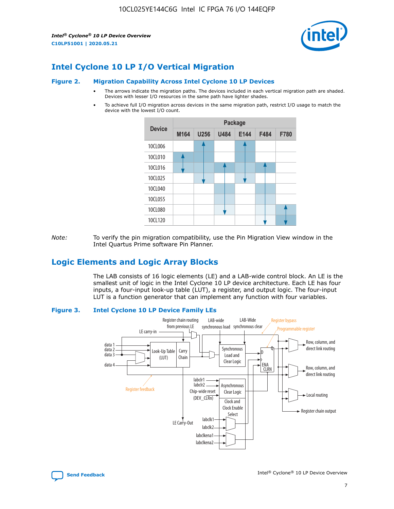*Intel® Cyclone® 10 LP Device Overview* **C10LP51001 | 2020.05.21**



## **Intel Cyclone 10 LP I/O Vertical Migration**

#### **Figure 2. Migration Capability Across Intel Cyclone 10 LP Devices**

- The arrows indicate the migration paths. The devices included in each vertical migration path are shaded. Devices with lesser I/O resources in the same path have lighter shades.
- To achieve full I/O migration across devices in the same migration path, restrict I/O usage to match the device with the lowest I/O count.



*Note:* To verify the pin migration compatibility, use the Pin Migration View window in the Intel Quartus Prime software Pin Planner.

## **Logic Elements and Logic Array Blocks**

The LAB consists of 16 logic elements (LE) and a LAB-wide control block. An LE is the smallest unit of logic in the Intel Cyclone 10 LP device architecture. Each LE has four inputs, a four-input look-up table (LUT), a register, and output logic. The four-input LUT is a function generator that can implement any function with four variables.

#### **Figure 3. Intel Cyclone 10 LP Device Family LEs**



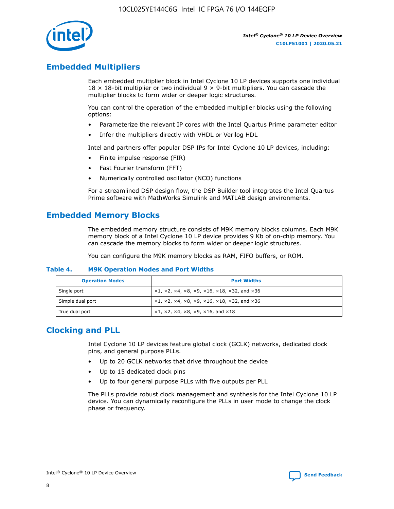

## **Embedded Multipliers**

Each embedded multiplier block in Intel Cyclone 10 LP devices supports one individual  $18 \times 18$ -bit multiplier or two individual 9  $\times$  9-bit multipliers. You can cascade the multiplier blocks to form wider or deeper logic structures.

You can control the operation of the embedded multiplier blocks using the following options:

- Parameterize the relevant IP cores with the Intel Quartus Prime parameter editor
- Infer the multipliers directly with VHDL or Verilog HDL

Intel and partners offer popular DSP IPs for Intel Cyclone 10 LP devices, including:

- Finite impulse response (FIR)
- Fast Fourier transform (FFT)
- Numerically controlled oscillator (NCO) functions

For a streamlined DSP design flow, the DSP Builder tool integrates the Intel Quartus Prime software with MathWorks Simulink and MATLAB design environments.

## **Embedded Memory Blocks**

The embedded memory structure consists of M9K memory blocks columns. Each M9K memory block of a Intel Cyclone 10 LP device provides 9 Kb of on-chip memory. You can cascade the memory blocks to form wider or deeper logic structures.

You can configure the M9K memory blocks as RAM, FIFO buffers, or ROM.

#### **Table 4. M9K Operation Modes and Port Widths**

| <b>Operation Modes</b> | <b>Port Widths</b>                           |
|------------------------|----------------------------------------------|
| Single port            | $x1, x2, x4, x8, x9, x16, x18, x32, and x36$ |
| Simple dual port       | $x1, x2, x4, x8, x9, x16, x18, x32, and x36$ |
| True dual port         | x1, x2, x4, x8, x9, x16, and x18             |

## **Clocking and PLL**

Intel Cyclone 10 LP devices feature global clock (GCLK) networks, dedicated clock pins, and general purpose PLLs.

- Up to 20 GCLK networks that drive throughout the device
- Up to 15 dedicated clock pins
- Up to four general purpose PLLs with five outputs per PLL

The PLLs provide robust clock management and synthesis for the Intel Cyclone 10 LP device. You can dynamically reconfigure the PLLs in user mode to change the clock phase or frequency.

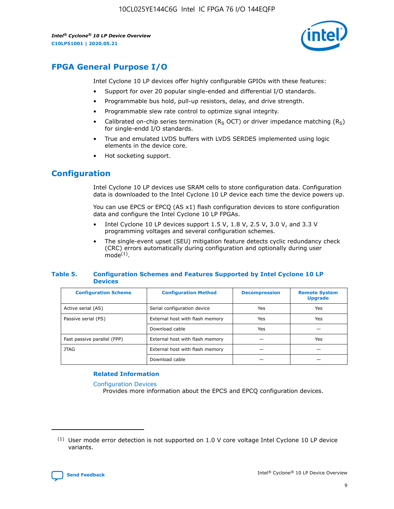*Intel® Cyclone® 10 LP Device Overview* **C10LP51001 | 2020.05.21**



## **FPGA General Purpose I/O**

Intel Cyclone 10 LP devices offer highly configurable GPIOs with these features:

- Support for over 20 popular single-ended and differential I/O standards.
- Programmable bus hold, pull-up resistors, delay, and drive strength.
- Programmable slew rate control to optimize signal integrity.
- Calibrated on-chip series termination ( $R<sub>S</sub>$  OCT) or driver impedance matching ( $R<sub>S</sub>$ ) for single-endd I/O standards.
- True and emulated LVDS buffers with LVDS SERDES implemented using logic elements in the device core.
- Hot socketing support.

## **Configuration**

Intel Cyclone 10 LP devices use SRAM cells to store configuration data. Configuration data is downloaded to the Intel Cyclone 10 LP device each time the device powers up.

You can use EPCS or EPCQ (AS x1) flash configuration devices to store configuration data and configure the Intel Cyclone 10 LP FPGAs.

- Intel Cyclone 10 LP devices support 1.5 V, 1.8 V, 2.5 V, 3.0 V, and 3.3 V programming voltages and several configuration schemes.
- The single-event upset (SEU) mitigation feature detects cyclic redundancy check (CRC) errors automatically during configuration and optionally during user  $mode<sup>(1)</sup>$ .

#### **Table 5. Configuration Schemes and Features Supported by Intel Cyclone 10 LP Devices**

| <b>Configuration Scheme</b> | <b>Configuration Method</b>     | <b>Decompression</b> | <b>Remote System</b><br><b>Upgrade</b> |  |
|-----------------------------|---------------------------------|----------------------|----------------------------------------|--|
| Active serial (AS)          | Serial configuration device     | Yes                  | Yes                                    |  |
| Passive serial (PS)         | External host with flash memory | Yes                  | Yes                                    |  |
|                             | Download cable                  | Yes                  |                                        |  |
| Fast passive parallel (FPP) | External host with flash memory |                      | Yes                                    |  |
| JTAG                        | External host with flash memory |                      |                                        |  |
|                             | Download cable                  |                      |                                        |  |

#### **Related Information**

[Configuration Devices](https://www.altera.com/products/configuration-devices/overview.html)

Provides more information about the EPCS and EPCQ configuration devices.

 $(1)$  User mode error detection is not supported on 1.0 V core voltage Intel Cyclone 10 LP device variants.

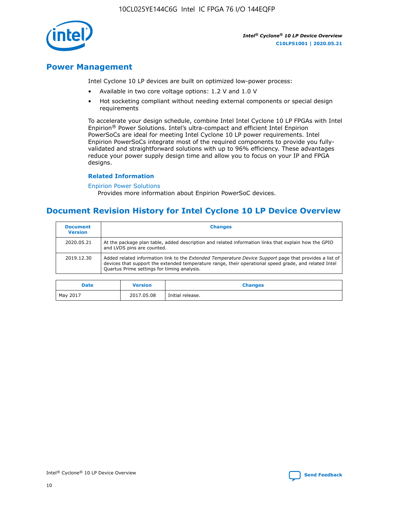

## **Power Management**

Intel Cyclone 10 LP devices are built on optimized low-power process:

- Available in two core voltage options: 1.2 V and 1.0 V
- Hot socketing compliant without needing external components or special design requirements

To accelerate your design schedule, combine Intel Intel Cyclone 10 LP FPGAs with Intel Enpirion® Power Solutions. Intel's ultra-compact and efficient Intel Enpirion PowerSoCs are ideal for meeting Intel Cyclone 10 LP power requirements. Intel Enpirion PowerSoCs integrate most of the required components to provide you fullyvalidated and straightforward solutions with up to 96% efficiency. These advantages reduce your power supply design time and allow you to focus on your IP and FPGA designs.

#### **Related Information**

#### [Enpirion Power Solutions](https://www.altera.com/products/power/devices.html)

Provides more information about Enpirion PowerSoC devices.

## **Document Revision History for Intel Cyclone 10 LP Device Overview**

| <b>Document</b><br><b>Version</b> | <b>Changes</b>                                                                                                                                                                                                                                                        |
|-----------------------------------|-----------------------------------------------------------------------------------------------------------------------------------------------------------------------------------------------------------------------------------------------------------------------|
| 2020.05.21                        | At the package plan table, added description and related information links that explain how the GPIO<br>and LVDS pins are counted.                                                                                                                                    |
| 2019.12.30                        | Added related information link to the <i>Extended Temperature Device Support</i> page that provides a list of<br>devices that support the extended temperature range, their operational speed grade, and related Intel<br>Quartus Prime settings for timing analysis. |

| <b>Date</b> | <b>Version</b> | <b>Changes</b>   |
|-------------|----------------|------------------|
| May 2017    | 2017.05.08     | Initial release. |